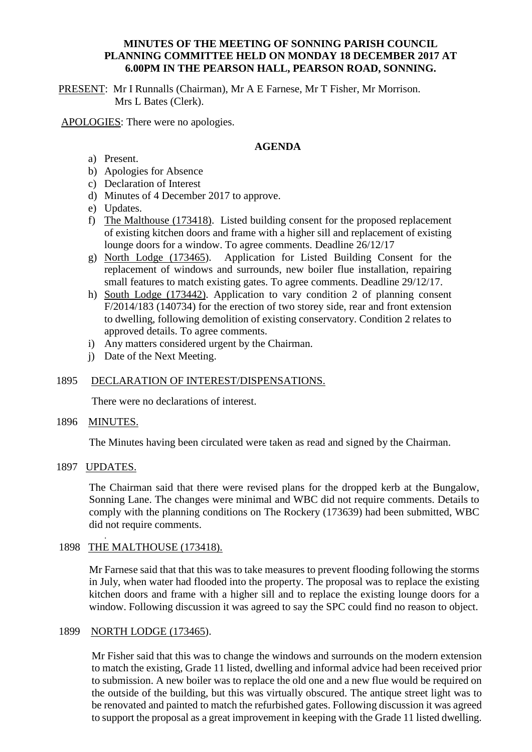## **MINUTES OF THE MEETING OF SONNING PARISH COUNCIL PLANNING COMMITTEE HELD ON MONDAY 18 DECEMBER 2017 AT 6.00PM IN THE PEARSON HALL, PEARSON ROAD, SONNING.**

PRESENT: Mr I Runnalls (Chairman), Mr A E Farnese, Mr T Fisher, Mr Morrison. Mrs L Bates (Clerk).

APOLOGIES: There were no apologies.

# **AGENDA**

- a) Present.
- b) Apologies for Absence
- c) Declaration of Interest
- d) Minutes of 4 December 2017 to approve.
- e) Updates.
- f) The Malthouse (173418). Listed building consent for the proposed replacement of existing kitchen doors and frame with a higher sill and replacement of existing lounge doors for a window. To agree comments. Deadline 26/12/17
- g) North Lodge (173465). Application for Listed Building Consent for the replacement of windows and surrounds, new boiler flue installation, repairing small features to match existing gates. To agree comments. Deadline 29/12/17.
- h) South Lodge (173442). Application to vary condition 2 of planning consent F/2014/183 (140734) for the erection of two storey side, rear and front extension to dwelling, following demolition of existing conservatory. Condition 2 relates to approved details. To agree comments.
- i) Any matters considered urgent by the Chairman.
- j) Date of the Next Meeting.

# 1895 DECLARATION OF INTEREST/DISPENSATIONS.

There were no declarations of interest.

1896 MINUTES.

The Minutes having been circulated were taken as read and signed by the Chairman.

1897 UPDATES.

The Chairman said that there were revised plans for the dropped kerb at the Bungalow, Sonning Lane. The changes were minimal and WBC did not require comments. Details to comply with the planning conditions on The Rockery (173639) had been submitted, WBC did not require comments.

#### . 1898 THE MALTHOUSE (173418).

Mr Farnese said that that this was to take measures to prevent flooding following the storms in July, when water had flooded into the property. The proposal was to replace the existing kitchen doors and frame with a higher sill and to replace the existing lounge doors for a window. Following discussion it was agreed to say the SPC could find no reason to object.

## 1899 NORTH LODGE (173465).

Mr Fisher said that this was to change the windows and surrounds on the modern extension to match the existing, Grade 11 listed, dwelling and informal advice had been received prior to submission. A new boiler was to replace the old one and a new flue would be required on the outside of the building, but this was virtually obscured. The antique street light was to be renovated and painted to match the refurbished gates. Following discussion it was agreed to support the proposal as a great improvement in keeping with the Grade 11 listed dwelling.